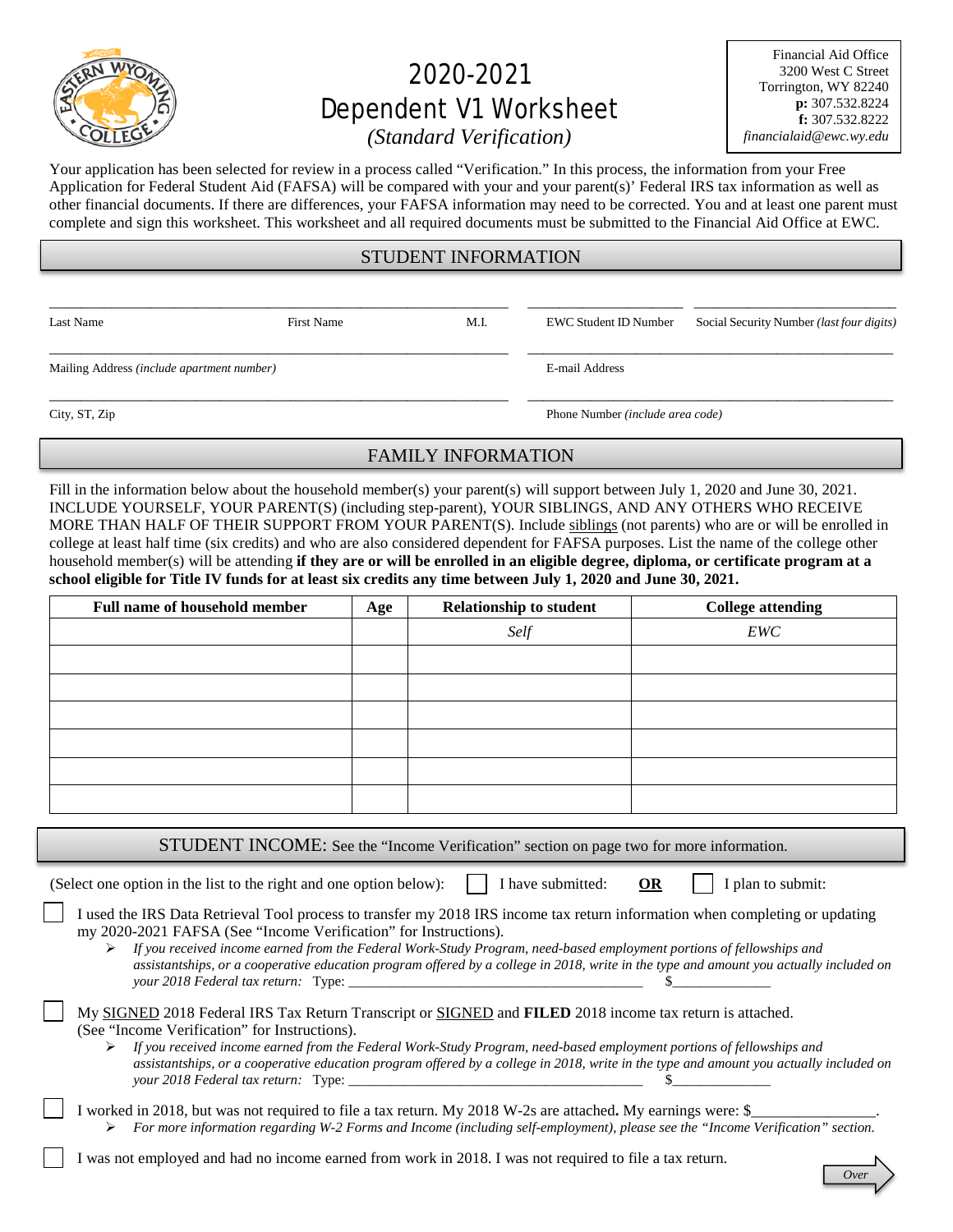

# 2020-2021 Dependent V1 Worksheet

Financial Aid Office 3200 West C Street Torrington, WY 82240 **p:** 307.532.8224 **f:** 307.532.8222 *financialaid@ewc.wy.edu*

# *(Standard Verification)*

Your application has been selected for review in a process called "Verification." In this process, the information from your Free Application for Federal Student Aid (FAFSA) will be compared with your and your parent(s)' Federal IRS tax information as well as other financial documents. If there are differences, your FAFSA information may need to be corrected. You and at least one parent must complete and sign this worksheet. This worksheet and all required documents must be submitted to the Financial Aid Office at EWC.

## STUDENT INFORMATION

\_\_\_\_\_\_\_\_\_\_\_\_\_\_\_\_\_\_\_\_\_\_\_\_\_\_\_\_\_\_\_\_\_\_\_\_\_\_\_\_\_\_\_\_\_\_\_\_\_\_\_\_\_\_\_\_\_\_\_ \_\_\_\_\_\_\_\_\_\_\_\_\_\_\_\_\_\_\_\_ \_\_\_\_\_\_\_\_\_\_\_\_\_\_\_\_\_\_\_\_\_\_\_\_\_\_ \_\_\_\_\_\_\_\_\_\_\_\_\_\_\_\_\_\_\_\_\_\_\_\_\_\_\_\_\_\_\_\_\_\_\_\_\_\_\_\_\_\_\_\_\_\_\_\_\_\_\_\_\_\_\_\_\_\_\_ \_\_\_\_\_\_\_\_\_\_\_\_\_\_\_\_\_\_\_\_\_\_\_\_\_\_\_\_\_\_\_\_\_\_\_\_\_\_\_\_\_\_\_\_\_\_\_

Mailing Address *(include apartment number)* E-mail Address

Last Name First Name First Name M.I. EWC Student ID Number Social Security Number *(last four digits)* 

City, ST, Zip Phone Number *(include area code)* 

## FAMILY INFORMATION

\_\_\_\_\_\_\_\_\_\_\_\_\_\_\_\_\_\_\_\_\_\_\_\_\_\_\_\_\_\_\_\_\_\_\_\_\_\_\_\_\_\_\_\_\_\_\_\_\_\_\_\_\_\_\_\_\_\_\_ \_\_\_\_\_\_\_\_\_\_\_\_\_\_\_\_\_\_\_\_\_\_\_\_\_\_\_\_\_\_\_\_\_\_\_\_\_\_\_\_\_\_\_\_\_\_\_

Fill in the information below about the household member(s) your parent(s) will support between July 1, 2020 and June 30, 2021. INCLUDE YOURSELF, YOUR PARENT(S) (including step-parent), YOUR SIBLINGS, AND ANY OTHERS WHO RECEIVE MORE THAN HALF OF THEIR SUPPORT FROM YOUR PARENT(S). Include siblings (not parents) who are or will be enrolled in college at least half time (six credits) and who are also considered dependent for FAFSA purposes. List the name of the college other household member(s) will be attending **if they are or will be enrolled in an eligible degree, diploma, or certificate program at a school eligible for Title IV funds for at least six credits any time between July 1, 2020 and June 30, 2021.**

| Age | <b>Relationship to student</b> | <b>College attending</b> |
|-----|--------------------------------|--------------------------|
|     | Self                           | EWC                      |
|     |                                |                          |
|     |                                |                          |
|     |                                |                          |
|     |                                |                          |
|     |                                |                          |
|     |                                |                          |
|     |                                |                          |

STUDENT INCOME: See the "Income Verification" section on page two for more information.

(Select one option in the list to the right and one option below):  $\|\cdot\|$  have submitted: **OR**  $\|\cdot\|$  plan to submit:

| I used the IRS Data Retrieval Tool process to transfer my 2018 IRS income tax return information when completing or updating |
|------------------------------------------------------------------------------------------------------------------------------|
| my 2020-2021 FAFSA (See "Income Verification" for Instructions).                                                             |

 *If you received income earned from the Federal Work-Study Program, need-based employment portions of fellowships and assistantships, or a cooperative education program offered by a college in 2018, write in the type and amount you actually included on your 2018 Federal tax return:* Type: \_\_\_\_\_\_\_\_\_\_\_\_\_\_\_\_\_\_\_\_\_\_\_\_\_\_\_\_\_\_\_\_\_\_\_\_\_\_\_\_\_\_ \$\_\_\_\_\_\_\_\_\_\_\_\_\_\_

|  | My SIGNED 2018 Federal IRS Tax Return Transcript or SIGNED and FILED 2018 income tax return is attached. |  |  |  |  |
|--|----------------------------------------------------------------------------------------------------------|--|--|--|--|
|  | (See "Income Verification" for Instructions).                                                            |  |  |  |  |

- *If you received income earned from the Federal Work-Study Program, need-based employment portions of fellowships and assistantships, or a cooperative education program offered by a college in 2018, write in the type and amount you actually included on your 2018 Federal tax return:* Type:
- I worked in 2018, but was not required to file a tax return. My 2018 W-2s are attached. My earnings were: \$ *For more information regarding W-2 Forms and Income (including self-employment), please see the "Income Verification" section.*
- I was not employed and had no income earned from work in 2018. I was not required to file a tax return.